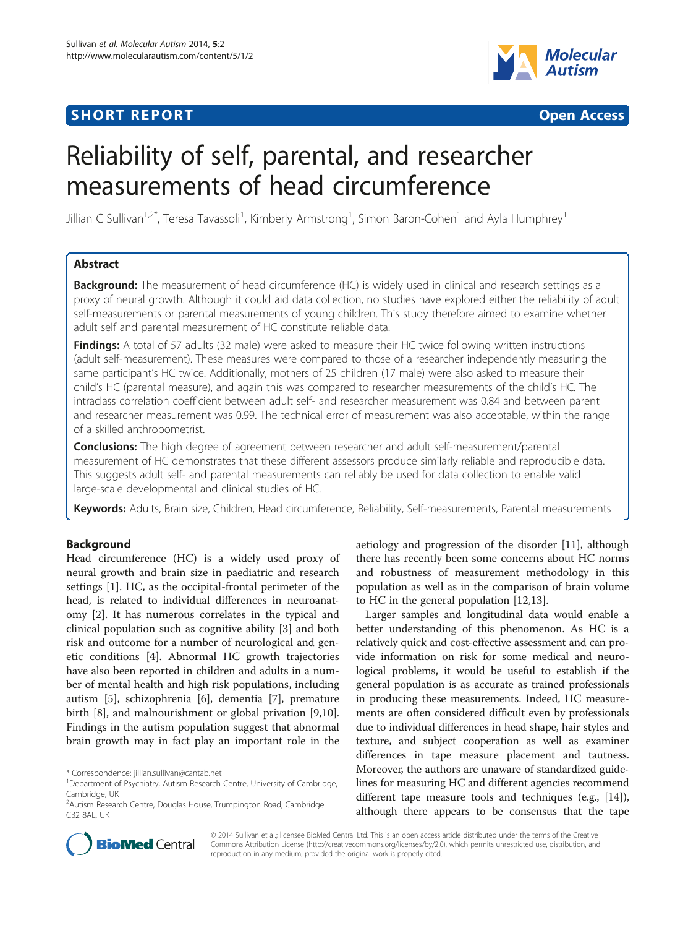# **SHORT REPORT SHORT CONSUMING THE CONSUMING THE CONSUMING THE CONSUMING THE CONSUMING THE CONSUMING THE CONSUMING THE CONSUMING THE CONSUMING THE CONSUMING THE CONSUMING THE CONSUMING THE CONSUMING THE CONSUMING THE CO**





# Reliability of self, parental, and researcher measurements of head circumference

Jillian C Sullivan<sup>1,2\*</sup>, Teresa Tavassoli<sup>1</sup>, Kimberly Armstrong<sup>1</sup>, Simon Baron-Cohen<sup>1</sup> and Ayla Humphrey<sup>1</sup>

# Abstract

**Background:** The measurement of head circumference (HC) is widely used in clinical and research settings as a proxy of neural growth. Although it could aid data collection, no studies have explored either the reliability of adult self-measurements or parental measurements of young children. This study therefore aimed to examine whether adult self and parental measurement of HC constitute reliable data.

**Findings:** A total of 57 adults (32 male) were asked to measure their HC twice following written instructions (adult self-measurement). These measures were compared to those of a researcher independently measuring the same participant's HC twice. Additionally, mothers of 25 children (17 male) were also asked to measure their child's HC (parental measure), and again this was compared to researcher measurements of the child's HC. The intraclass correlation coefficient between adult self- and researcher measurement was 0.84 and between parent and researcher measurement was 0.99. The technical error of measurement was also acceptable, within the range of a skilled anthropometrist.

Conclusions: The high degree of agreement between researcher and adult self-measurement/parental measurement of HC demonstrates that these different assessors produce similarly reliable and reproducible data. This suggests adult self- and parental measurements can reliably be used for data collection to enable valid large-scale developmental and clinical studies of HC.

Keywords: Adults, Brain size, Children, Head circumference, Reliability, Self-measurements, Parental measurements

# Background

Head circumference (HC) is a widely used proxy of neural growth and brain size in paediatric and research settings [\[1](#page-3-0)]. HC, as the occipital-frontal perimeter of the head, is related to individual differences in neuroanatomy [[2\]](#page-3-0). It has numerous correlates in the typical and clinical population such as cognitive ability [[3\]](#page-3-0) and both risk and outcome for a number of neurological and genetic conditions [\[4](#page-3-0)]. Abnormal HC growth trajectories have also been reported in children and adults in a number of mental health and high risk populations, including autism [\[5](#page-3-0)], schizophrenia [[6\]](#page-3-0), dementia [[7\]](#page-3-0), premature birth [[8\]](#page-3-0), and malnourishment or global privation [\[9,10](#page-3-0)]. Findings in the autism population suggest that abnormal brain growth may in fact play an important role in the

aetiology and progression of the disorder [[11\]](#page-3-0), although there has recently been some concerns about HC norms and robustness of measurement methodology in this population as well as in the comparison of brain volume to HC in the general population [[12](#page-3-0),[13](#page-3-0)].

Larger samples and longitudinal data would enable a better understanding of this phenomenon. As HC is a relatively quick and cost-effective assessment and can provide information on risk for some medical and neurological problems, it would be useful to establish if the general population is as accurate as trained professionals in producing these measurements. Indeed, HC measurements are often considered difficult even by professionals due to individual differences in head shape, hair styles and texture, and subject cooperation as well as examiner differences in tape measure placement and tautness. Moreover, the authors are unaware of standardized guidelines for measuring HC and different agencies recommend different tape measure tools and techniques (e.g., [[14](#page-3-0)]), although there appears to be consensus that the tape



© 2014 Sullivan et al.; licensee BioMed Central Ltd. This is an open access article distributed under the terms of the Creative Commons Attribution License [\(http://creativecommons.org/licenses/by/2.0\)](http://creativecommons.org/licenses/by/2.0), which permits unrestricted use, distribution, and reproduction in any medium, provided the original work is properly cited.

<sup>\*</sup> Correspondence: [jillian.sullivan@cantab.net](mailto:jillian.sullivan@cantab.net) <sup>1</sup>

Department of Psychiatry, Autism Research Centre, University of Cambridge, Cambridge, UK

<sup>2</sup> Autism Research Centre, Douglas House, Trumpington Road, Cambridge CB2 8AL, UK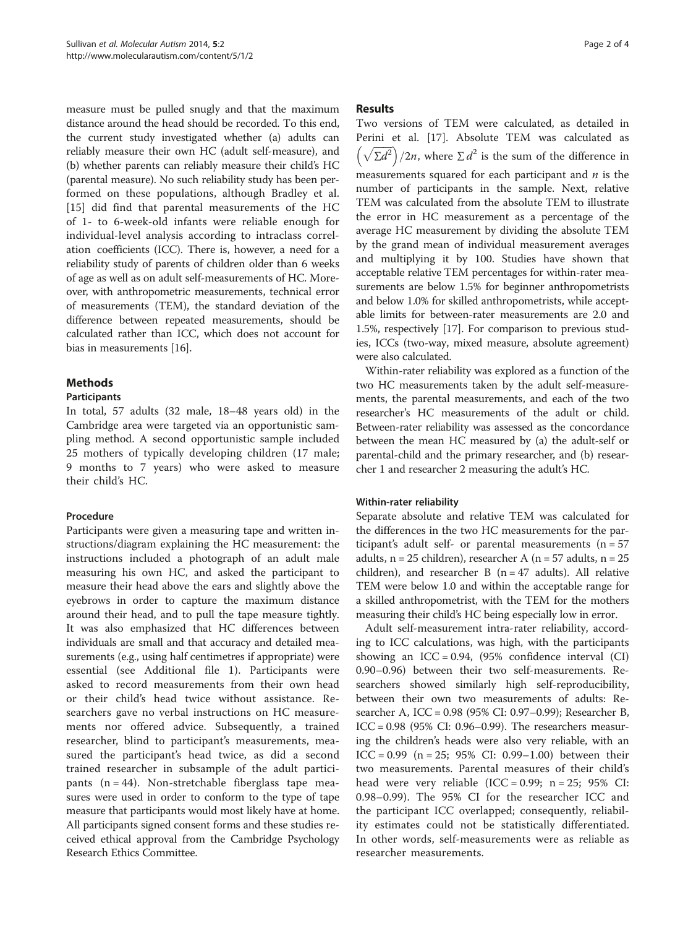measure must be pulled snugly and that the maximum distance around the head should be recorded. To this end, the current study investigated whether (a) adults can reliably measure their own HC (adult self-measure), and (b) whether parents can reliably measure their child's HC (parental measure). No such reliability study has been performed on these populations, although Bradley et al. [[15\]](#page-3-0) did find that parental measurements of the HC of 1- to 6-week-old infants were reliable enough for individual-level analysis according to intraclass correlation coefficients (ICC). There is, however, a need for a reliability study of parents of children older than 6 weeks of age as well as on adult self-measurements of HC. Moreover, with anthropometric measurements, technical error of measurements (TEM), the standard deviation of the difference between repeated measurements, should be calculated rather than ICC, which does not account for bias in measurements [\[16\]](#page-3-0).

# Methods

### Participants

In total, 57 adults (32 male, 18–48 years old) in the Cambridge area were targeted via an opportunistic sampling method. A second opportunistic sample included 25 mothers of typically developing children (17 male; 9 months to 7 years) who were asked to measure their child's HC.

# Procedure

Participants were given a measuring tape and written instructions/diagram explaining the HC measurement: the instructions included a photograph of an adult male measuring his own HC, and asked the participant to measure their head above the ears and slightly above the eyebrows in order to capture the maximum distance around their head, and to pull the tape measure tightly. It was also emphasized that HC differences between individuals are small and that accuracy and detailed measurements (e.g., using half centimetres if appropriate) were essential (see Additional file [1\)](#page-2-0). Participants were asked to record measurements from their own head or their child's head twice without assistance. Researchers gave no verbal instructions on HC measurements nor offered advice. Subsequently, a trained researcher, blind to participant's measurements, measured the participant's head twice, as did a second trained researcher in subsample of the adult participants  $(n = 44)$ . Non-stretchable fiberglass tape measures were used in order to conform to the type of tape measure that participants would most likely have at home. All participants signed consent forms and these studies received ethical approval from the Cambridge Psychology Research Ethics Committee.

## Results

Two versions of TEM were calculated, as detailed in Perini et al. [[17](#page-3-0)]. Absolute TEM was calculated as  $\left(\sqrt{\sum d^2}\right)/2n$ , where  $\sum d^2$  is the sum of the difference in measurements squared for each participant and  $n$  is the number of participants in the sample. Next, relative TEM was calculated from the absolute TEM to illustrate the error in HC measurement as a percentage of the average HC measurement by dividing the absolute TEM by the grand mean of individual measurement averages and multiplying it by 100. Studies have shown that acceptable relative TEM percentages for within-rater measurements are below 1.5% for beginner anthropometrists and below 1.0% for skilled anthropometrists, while acceptable limits for between-rater measurements are 2.0 and 1.5%, respectively [\[17\]](#page-3-0). For comparison to previous studies, ICCs (two-way, mixed measure, absolute agreement) were also calculated.

Within-rater reliability was explored as a function of the two HC measurements taken by the adult self-measurements, the parental measurements, and each of the two researcher's HC measurements of the adult or child. Between-rater reliability was assessed as the concordance between the mean HC measured by (a) the adult-self or parental-child and the primary researcher, and (b) researcher 1 and researcher 2 measuring the adult's HC.

# Within-rater reliability

Separate absolute and relative TEM was calculated for the differences in the two HC measurements for the participant's adult self- or parental measurements  $(n = 57)$ adults,  $n = 25$  children), researcher A ( $n = 57$  adults,  $n = 25$ children), and researcher B  $(n = 47$  adults). All relative TEM were below 1.0 and within the acceptable range for a skilled anthropometrist, with the TEM for the mothers measuring their child's HC being especially low in error.

Adult self-measurement intra-rater reliability, according to ICC calculations, was high, with the participants showing an ICC =  $0.94$ , (95% confidence interval (CI) 0.90–0.96) between their two self-measurements. Researchers showed similarly high self-reproducibility, between their own two measurements of adults: Researcher A, ICC = 0.98 (95% CI: 0.97–0.99); Researcher B,  $ICC = 0.98$  (95% CI: 0.96–0.99). The researchers measuring the children's heads were also very reliable, with an ICC =  $0.99$  (n =  $25$ ;  $95\%$  CI:  $0.99-1.00$ ) between their two measurements. Parental measures of their child's head were very reliable (ICC =  $0.99$ ; n =  $25$ ;  $95\%$  CI: 0.98–0.99). The 95% CI for the researcher ICC and the participant ICC overlapped; consequently, reliability estimates could not be statistically differentiated. In other words, self-measurements were as reliable as researcher measurements.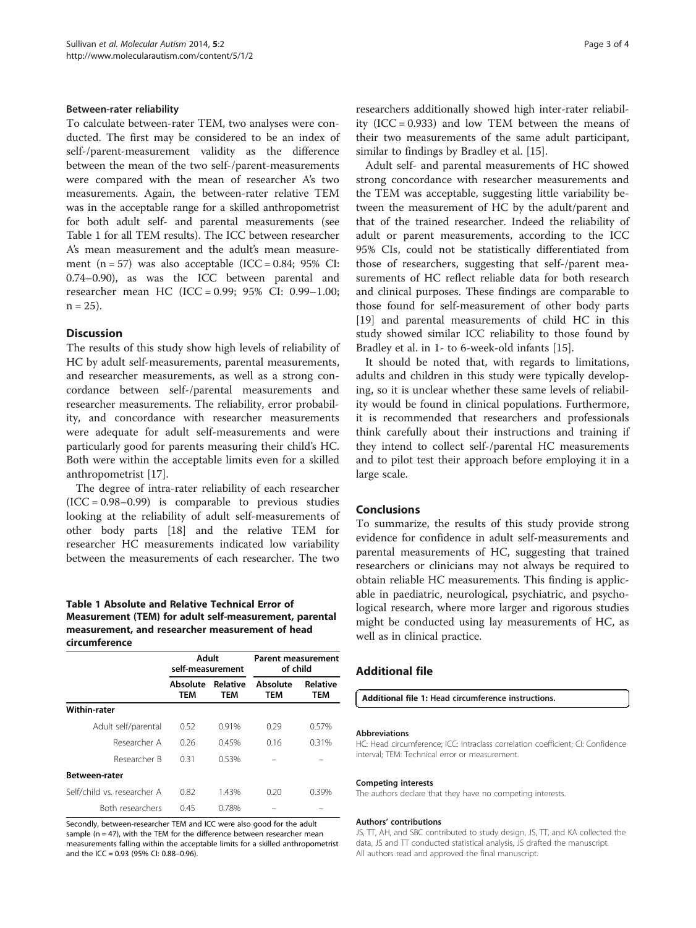#### <span id="page-2-0"></span>Between-rater reliability

To calculate between-rater TEM, two analyses were conducted. The first may be considered to be an index of self-/parent-measurement validity as the difference between the mean of the two self-/parent-measurements were compared with the mean of researcher A's two measurements. Again, the between-rater relative TEM was in the acceptable range for a skilled anthropometrist for both adult self- and parental measurements (see Table 1 for all TEM results). The ICC between researcher A's mean measurement and the adult's mean measurement  $(n = 57)$  was also acceptable  $(ICC = 0.84; 95\% CI:$ 0.74–0.90), as was the ICC between parental and researcher mean HC (ICC = 0.99; 95% CI: 0.99–1.00;  $n = 25$ ).

#### **Discussion**

The results of this study show high levels of reliability of HC by adult self-measurements, parental measurements, and researcher measurements, as well as a strong concordance between self-/parental measurements and researcher measurements. The reliability, error probability, and concordance with researcher measurements were adequate for adult self-measurements and were particularly good for parents measuring their child's HC. Both were within the acceptable limits even for a skilled anthropometrist [\[17](#page-3-0)].

The degree of intra-rater reliability of each researcher  $(ICC = 0.98 - 0.99)$  is comparable to previous studies looking at the reliability of adult self-measurements of other body parts [\[18](#page-3-0)] and the relative TEM for researcher HC measurements indicated low variability between the measurements of each researcher. The two

## Table 1 Absolute and Relative Technical Error of Measurement (TEM) for adult self-measurement, parental measurement, and researcher measurement of head circumference

|                             | Adult<br>self-measurement |                        | <b>Parent measurement</b><br>of child |                        |
|-----------------------------|---------------------------|------------------------|---------------------------------------|------------------------|
|                             | Absolute<br>TEM           | <b>Relative</b><br>TEM | Absolute<br><b>TEM</b>                | <b>Relative</b><br>TEM |
| Within-rater                |                           |                        |                                       |                        |
| Adult self/parental         | 0.52                      | 0.91%                  | 0.29                                  | 0.57%                  |
| Researcher A                | 0.26                      | 0.45%                  | 0.16                                  | 0.31%                  |
| Researcher B                | 0.31                      | 0.53%                  |                                       |                        |
| <b>Between-rater</b>        |                           |                        |                                       |                        |
| Self/child vs. researcher A | 0.82                      | 1.43%                  | 0 20                                  | 0.39%                  |
| Both researchers            | 0.45                      | 0.78%                  |                                       |                        |

Secondly, between-researcher TEM and ICC were also good for the adult sample ( $n = 47$ ), with the TEM for the difference between researcher mean measurements falling within the acceptable limits for a skilled anthropometrist and the ICC = 0.93 (95% CI: 0.88–0.96).

researchers additionally showed high inter-rater reliability  $(ICC = 0.933)$  and low TEM between the means of their two measurements of the same adult participant, similar to findings by Bradley et al. [[15](#page-3-0)].

Adult self- and parental measurements of HC showed strong concordance with researcher measurements and the TEM was acceptable, suggesting little variability between the measurement of HC by the adult/parent and that of the trained researcher. Indeed the reliability of adult or parent measurements, according to the ICC 95% CIs, could not be statistically differentiated from those of researchers, suggesting that self-/parent measurements of HC reflect reliable data for both research and clinical purposes. These findings are comparable to those found for self-measurement of other body parts [[19\]](#page-3-0) and parental measurements of child HC in this study showed similar ICC reliability to those found by Bradley et al. in 1- to 6-week-old infants [\[15](#page-3-0)].

It should be noted that, with regards to limitations, adults and children in this study were typically developing, so it is unclear whether these same levels of reliability would be found in clinical populations. Furthermore, it is recommended that researchers and professionals think carefully about their instructions and training if they intend to collect self-/parental HC measurements and to pilot test their approach before employing it in a large scale.

### Conclusions

To summarize, the results of this study provide strong evidence for confidence in adult self-measurements and parental measurements of HC, suggesting that trained researchers or clinicians may not always be required to obtain reliable HC measurements. This finding is applicable in paediatric, neurological, psychiatric, and psychological research, where more larger and rigorous studies might be conducted using lay measurements of HC, as well as in clinical practice.

### Additional file

[Additional file 1:](http://www.biomedcentral.com/content/supplementary/2040-2392-5-2-S1.docx) Head circumference instructions.

#### Abbreviations

HC: Head circumference; ICC: Intraclass correlation coefficient; CI: Confidence interval; TEM: Technical error or measurement.

#### Competing interests

The authors declare that they have no competing interests.

#### Authors' contributions

JS, TT, AH, and SBC contributed to study design, JS, TT, and KA collected the data, JS and TT conducted statistical analysis, JS drafted the manuscript. All authors read and approved the final manuscript.